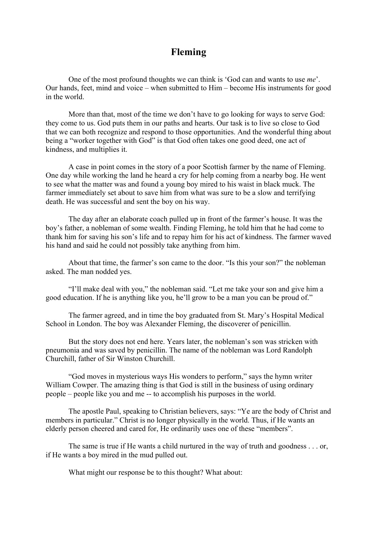## **Fleming**

One of the most profound thoughts we can think is 'God can and wants to use *me*'. Our hands, feet, mind and voice – when submitted to Him – become His instruments for good in the world.

More than that, most of the time we don't have to go looking for ways to serve God: they come to us. God puts them in our paths and hearts. Our task is to live so close to God that we can both recognize and respond to those opportunities. And the wonderful thing about being a "worker together with God" is that God often takes one good deed, one act of kindness, and multiplies it.

A case in point comes in the story of a poor Scottish farmer by the name of Fleming. One day while working the land he heard a cry for help coming from a nearby bog. He went to see what the matter was and found a young boy mired to his waist in black muck. The farmer immediately set about to save him from what was sure to be a slow and terrifying death. He was successful and sent the boy on his way.

The day after an elaborate coach pulled up in front of the farmer's house. It was the boy's father, a nobleman of some wealth. Finding Fleming, he told him that he had come to thank him for saving his son's life and to repay him for his act of kindness. The farmer waved his hand and said he could not possibly take anything from him.

About that time, the farmer's son came to the door. "Is this your son?" the nobleman asked. The man nodded yes.

"I'll make deal with you," the nobleman said. "Let me take your son and give him a good education. If he is anything like you, he'll grow to be a man you can be proud of."

The farmer agreed, and in time the boy graduated from St. Mary's Hospital Medical School in London. The boy was Alexander Fleming, the discoverer of penicillin.

But the story does not end here. Years later, the nobleman's son was stricken with pneumonia and was saved by penicillin. The name of the nobleman was Lord Randolph Churchill, father of Sir Winston Churchill.

"God moves in mysterious ways His wonders to perform," says the hymn writer William Cowper. The amazing thing is that God is still in the business of using ordinary people – people like you and me -- to accomplish his purposes in the world.

The apostle Paul, speaking to Christian believers, says: "Ye are the body of Christ and members in particular." Christ is no longer physically in the world. Thus, if He wants an elderly person cheered and cared for, He ordinarily uses one of these "members".

The same is true if He wants a child nurtured in the way of truth and goodness . . . or, if He wants a boy mired in the mud pulled out.

What might our response be to this thought? What about: